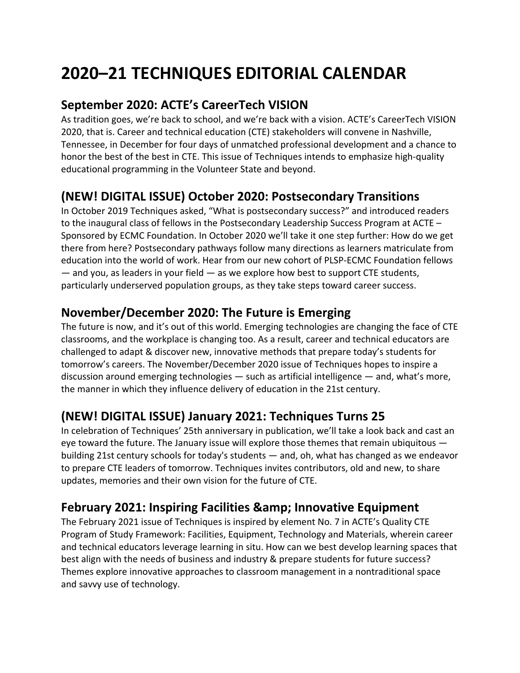# **2020–21 TECHNIQUES EDITORIAL CALENDAR**

#### **September 2020: ACTE's CareerTech VISION**

As tradition goes, we're back to school, and we're back with a vision. ACTE's CareerTech VISION 2020, that is. Career and technical education (CTE) stakeholders will convene in Nashville, Tennessee, in December for four days of unmatched professional development and a chance to honor the best of the best in CTE. This issue of Techniques intends to emphasize high-quality educational programming in the Volunteer State and beyond.

#### **(NEW! DIGITAL ISSUE) October 2020: Postsecondary Transitions**

In October 2019 Techniques asked, "What is postsecondary success?" and introduced readers to the inaugural class of fellows in the Postsecondary Leadership Success Program at ACTE – Sponsored by ECMC Foundation. In October 2020 we'll take it one step further: How do we get there from here? Postsecondary pathways follow many directions as learners matriculate from education into the world of work. Hear from our new cohort of PLSP-ECMC Foundation fellows  $-$  and you, as leaders in your field  $-$  as we explore how best to support CTE students, particularly underserved population groups, as they take steps toward career success.

## **November/December 2020: The Future is Emerging**

The future is now, and it's out of this world. Emerging technologies are changing the face of CTE classrooms, and the workplace is changing too. As a result, career and technical educators are challenged to adapt & discover new, innovative methods that prepare today's students for tomorrow's careers. The November/December 2020 issue of Techniques hopes to inspire a discussion around emerging technologies — such as artificial intelligence — and, what's more, the manner in which they influence delivery of education in the 21st century.

## **(NEW! DIGITAL ISSUE) January 2021: Techniques Turns 25**

In celebration of Techniques' 25th anniversary in publication, we'll take a look back and cast an eye toward the future. The January issue will explore those themes that remain ubiquitous building 21st century schools for today's students — and, oh, what has changed as we endeavor to prepare CTE leaders of tomorrow. Techniques invites contributors, old and new, to share updates, memories and their own vision for the future of CTE.

#### **February 2021: Inspiring Facilities & amp; Innovative Equipment**

The February 2021 issue of Techniques is inspired by element No. 7 in ACTE's Quality CTE Program of Study Framework: Facilities, Equipment, Technology and Materials, wherein career and technical educators leverage learning in situ. How can we best develop learning spaces that best align with the needs of business and industry & prepare students for future success? Themes explore innovative approaches to classroom management in a nontraditional space and savvy use of technology.